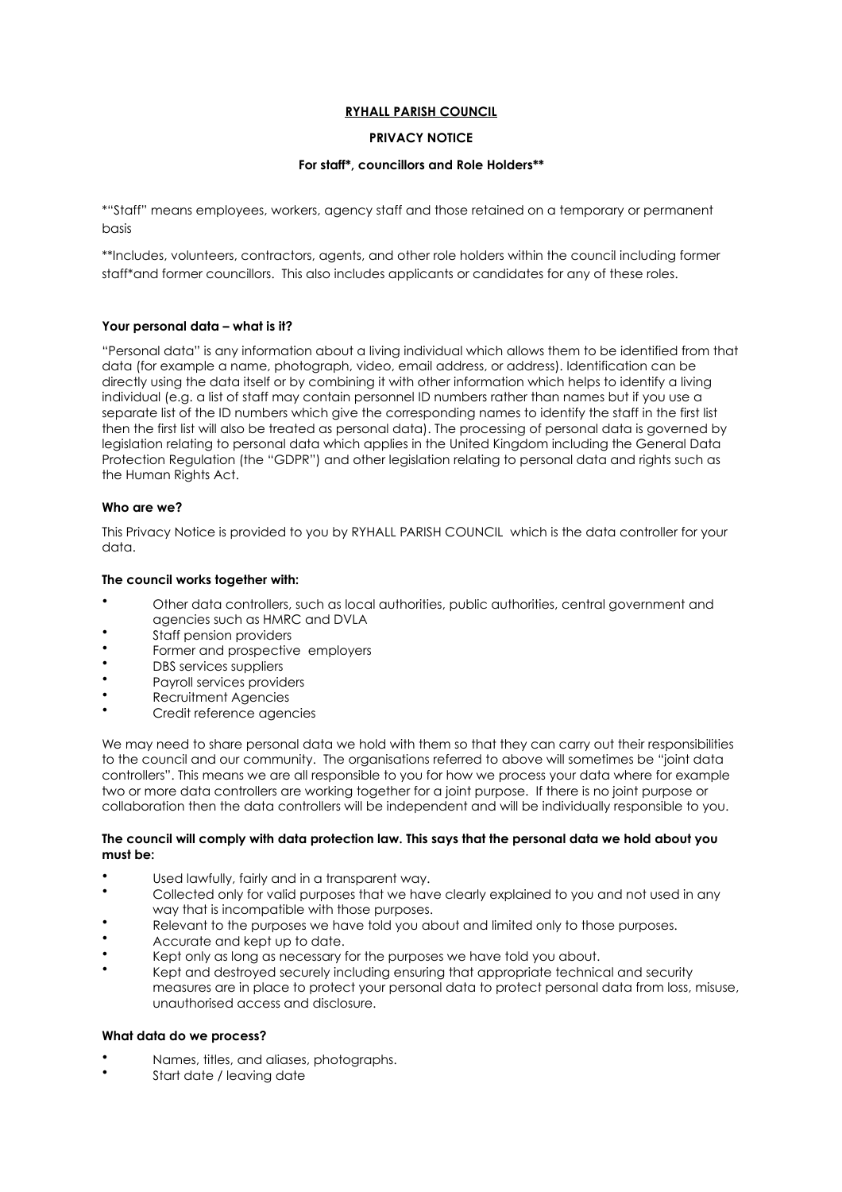# **RYHALL PARISH COUNCIL**

# **PRIVACY NOTICE**

## **For staff\*, councillors and Role Holders\*\***

\*"Staff" means employees, workers, agency staff and those retained on a temporary or permanent hasis

\*\*Includes, volunteers, contractors, agents, and other role holders within the council including former staff\*and former councillors. This also includes applicants or candidates for any of these roles.

## **Your personal data – what is it?**

"Personal data" is any information about a living individual which allows them to be identified from that data (for example a name, photograph, video, email address, or address). Identification can be directly using the data itself or by combining it with other information which helps to identify a living individual (e.g. a list of staff may contain personnel ID numbers rather than names but if you use a separate list of the ID numbers which give the corresponding names to identify the staff in the first list then the first list will also be treated as personal data). The processing of personal data is governed by legislation relating to personal data which applies in the United Kingdom including the General Data Protection Regulation (the "GDPR") and other legislation relating to personal data and rights such as the Human Rights Act.

## **Who are we?**

This Privacy Notice is provided to you by RYHALL PARISH COUNCIL which is the data controller for your data.

## **The council works together with:**

- Other data controllers, such as local authorities, public authorities, central government and agencies such as HMRC and DVLA
- Staff pension providers
- Former and prospective employers
- DBS services suppliers
- Payroll services providers
- Recruitment Agencies
- Credit reference agencies

We may need to share personal data we hold with them so that they can carry out their responsibilities to the council and our community. The organisations referred to above will sometimes be "joint data controllers". This means we are all responsible to you for how we process your data where for example two or more data controllers are working together for a joint purpose. If there is no joint purpose or collaboration then the data controllers will be independent and will be individually responsible to you.

#### **The council will comply with data protection law. This says that the personal data we hold about you must be:**

- Used lawfully, fairly and in a transparent way.
- Collected only for valid purposes that we have clearly explained to you and not used in any way that is incompatible with those purposes.
- Relevant to the purposes we have told you about and limited only to those purposes.
- Accurate and kept up to date.
- Kept only as long as necessary for the purposes we have told you about.
- Kept and destroyed securely including ensuring that appropriate technical and security measures are in place to protect your personal data to protect personal data from loss, misuse, unauthorised access and disclosure.

### **What data do we process?**

- Names, titles, and aliases, photographs.
- Start date / leaving date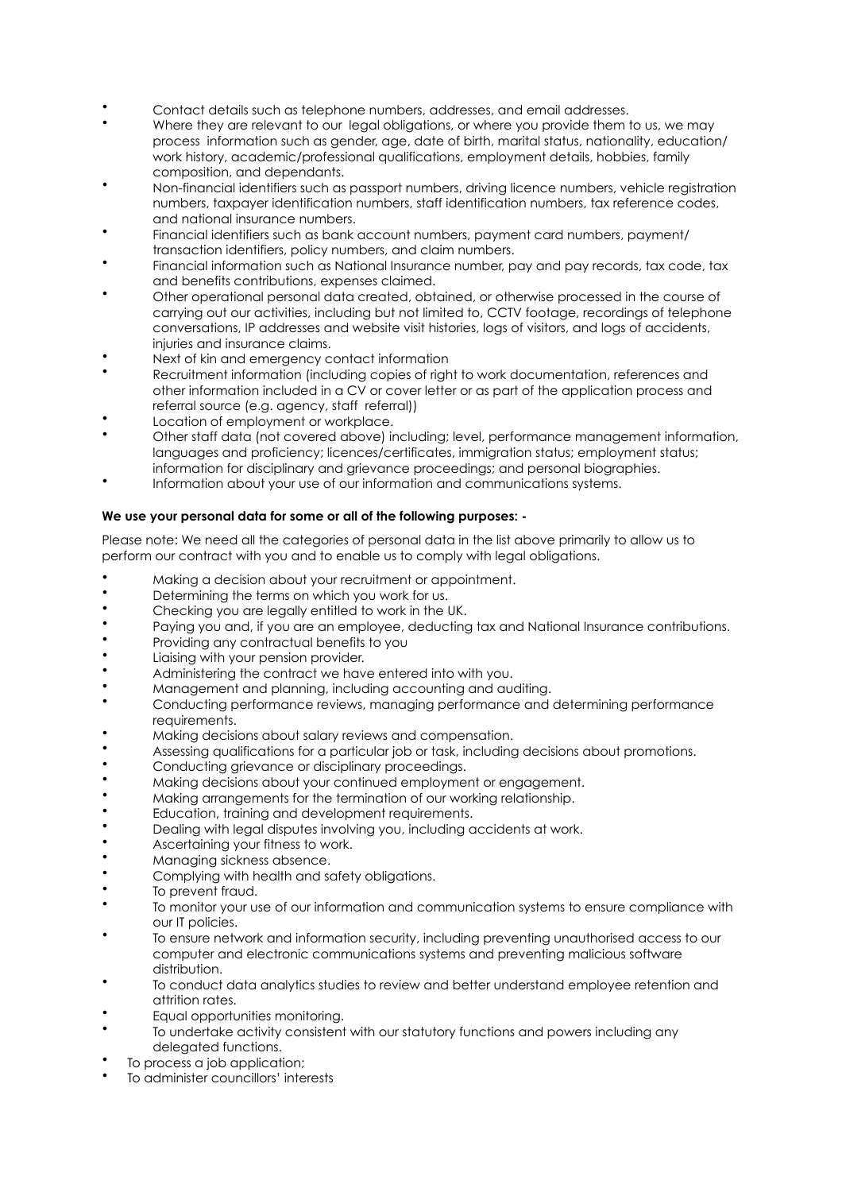- Contact details such as telephone numbers, addresses, and email addresses.
- Where they are relevant to our legal obligations, or where you provide them to us, we may process information such as gender, age, date of birth, marital status, nationality, education/ work history, academic/professional qualifications, employment details, hobbies, family composition, and dependants.
- Non-financial identifiers such as passport numbers, driving licence numbers, vehicle registration numbers, taxpayer identification numbers, staff identification numbers, tax reference codes, and national insurance numbers.
- Financial identifiers such as bank account numbers, payment card numbers, payment/ transaction identifiers, policy numbers, and claim numbers.
- Financial information such as National Insurance number, pay and pay records, tax code, tax and benefits contributions, expenses claimed.
- Other operational personal data created, obtained, or otherwise processed in the course of carrying out our activities, including but not limited to, CCTV footage, recordings of telephone conversations, IP addresses and website visit histories, logs of visitors, and logs of accidents, injuries and insurance claims.
- Next of kin and emergency contact information
- Recruitment information (including copies of right to work documentation, references and other information included in a CV or cover letter or as part of the application process and referral source (e.g. agency, staff referral))
- Location of employment or workplace.
- Other staff data (not covered above) including; level, performance management information, languages and proficiency; licences/certificates, immigration status; employment status; information for disciplinary and grievance proceedings; and personal biographies.
- Information about your use of our information and communications systems.

## **We use your personal data for some or all of the following purposes: -**

Please note: We need all the categories of personal data in the list above primarily to allow us to perform our contract with you and to enable us to comply with legal obligations.

- Making a decision about your recruitment or appointment.
- Determining the terms on which you work for us.
- Checking you are legally entitled to work in the UK.
- Paying you and, if you are an employee, deducting tax and National Insurance contributions.
- Providing any contractual benefits to you
- Liaising with your pension provider.
- Administering the contract we have entered into with you.
- Management and planning, including accounting and auditing.
- Conducting performance reviews, managing performance and determining performance requirements.
- Making decisions about salary reviews and compensation.
- Assessing qualifications for a particular job or task, including decisions about promotions.
- Conducting grievance or disciplinary proceedings.
- Making decisions about your continued employment or engagement.
- Making arrangements for the termination of our working relationship.
- Education, training and development requirements.
- Dealing with legal disputes involving you, including accidents at work.
- Ascertaining your fitness to work.
- Managing sickness absence.
- Complying with health and safety obligations.
- To prevent fraud.
- To monitor your use of our information and communication systems to ensure compliance with our IT policies.
- To ensure network and information security, including preventing unauthorised access to our computer and electronic communications systems and preventing malicious software distribution.
- To conduct data analytics studies to review and better understand employee retention and attrition rates.
- Equal opportunities monitoring.
- To undertake activity consistent with our statutory functions and powers including any delegated functions.
- To process a job application;
- To administer councillors' interests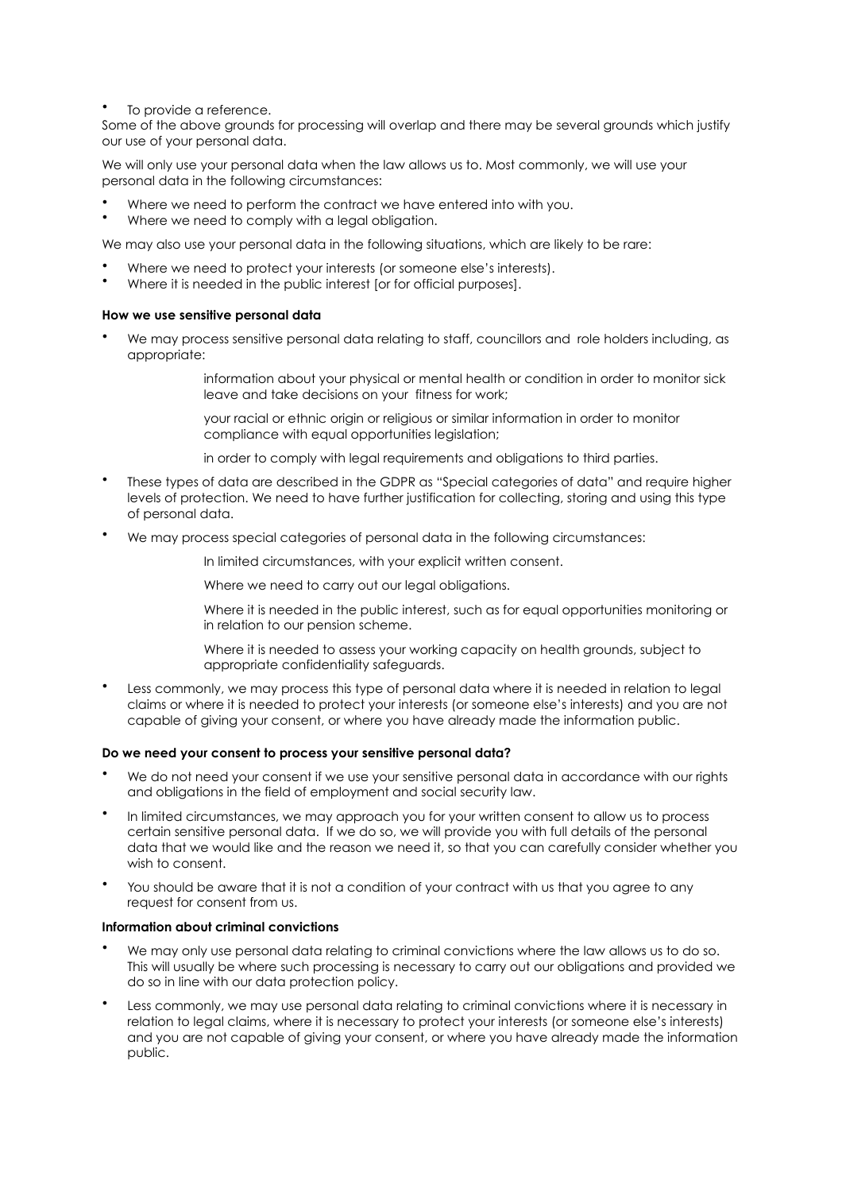To provide a reference.

Some of the above grounds for processing will overlap and there may be several grounds which justify our use of your personal data.

We will only use your personal data when the law allows us to. Most commonly, we will use your personal data in the following circumstances:

- Where we need to perform the contract we have entered into with you.
- Where we need to comply with a legal obligation.

We may also use your personal data in the following situations, which are likely to be rare:

- Where we need to protect your interests (or someone else's interests).
- Where it is needed in the public interest [or for official purposes].

#### **How we use sensitive personal data**

• We may process sensitive personal data relating to staff, councillors and role holders including, as appropriate:

> information about your physical or mental health or condition in order to monitor sick leave and take decisions on your fitness for work;

your racial or ethnic origin or religious or similar information in order to monitor compliance with equal opportunities legislation;

in order to comply with legal requirements and obligations to third parties.

- These types of data are described in the GDPR as "Special categories of data" and require higher levels of protection. We need to have further justification for collecting, storing and using this type of personal data.
- We may process special categories of personal data in the following circumstances:

In limited circumstances, with your explicit written consent.

Where we need to carry out our legal obligations.

Where it is needed in the public interest, such as for equal opportunities monitoring or in relation to our pension scheme.

Where it is needed to assess your working capacity on health grounds, subject to appropriate confidentiality safeguards.

Less commonly, we may process this type of personal data where it is needed in relation to legal claims or where it is needed to protect your interests (or someone else's interests) and you are not capable of giving your consent, or where you have already made the information public.

#### **Do we need your consent to process your sensitive personal data?**

- We do not need your consent if we use your sensitive personal data in accordance with our rights and obligations in the field of employment and social security law.
- In limited circumstances, we may approach you for your written consent to allow us to process certain sensitive personal data. If we do so, we will provide you with full details of the personal data that we would like and the reason we need it, so that you can carefully consider whether you wish to consent.
- You should be aware that it is not a condition of your contract with us that you agree to any request for consent from us.

#### **Information about criminal convictions**

- We may only use personal data relating to criminal convictions where the law allows us to do so. This will usually be where such processing is necessary to carry out our obligations and provided we do so in line with our data protection policy.
- Less commonly, we may use personal data relating to criminal convictions where it is necessary in relation to legal claims, where it is necessary to protect your interests (or someone else's interests) and you are not capable of giving your consent, or where you have already made the information public.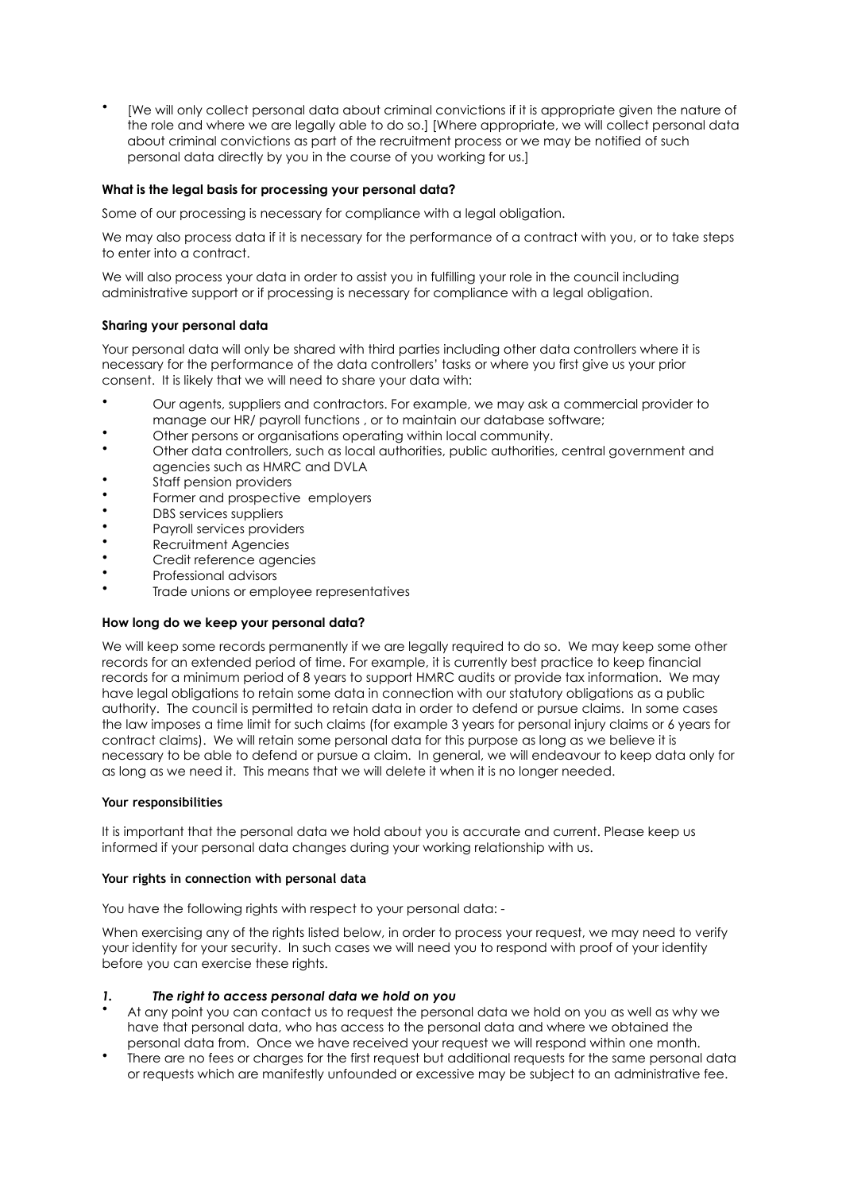• [We will only collect personal data about criminal convictions if it is appropriate given the nature of the role and where we are legally able to do so.] [Where appropriate, we will collect personal data about criminal convictions as part of the recruitment process or we may be notified of such personal data directly by you in the course of you working for us.]

### **What is the legal basis for processing your personal data?**

Some of our processing is necessary for compliance with a legal obligation.

We may also process data if it is necessary for the performance of a contract with you, or to take steps to enter into a contract.

We will also process your data in order to assist you in fulfilling your role in the council including administrative support or if processing is necessary for compliance with a legal obligation.

### **Sharing your personal data**

Your personal data will only be shared with third parties including other data controllers where it is necessary for the performance of the data controllers' tasks or where you first give us your prior consent. It is likely that we will need to share your data with:

- Our agents, suppliers and contractors. For example, we may ask a commercial provider to manage our HR/ payroll functions , or to maintain our database software;
- Other persons or organisations operating within local community.
- Other data controllers, such as local authorities, public authorities, central government and agencies such as HMRC and DVLA
- Staff pension providers
- Former and prospective employers
- DBS services suppliers
- Payroll services providers
- Recruitment Agencies
- Credit reference agencies
- Professional advisors
- Trade unions or employee representatives

### **How long do we keep your personal data?**

We will keep some records permanently if we are legally required to do so. We may keep some other records for an extended period of time. For example, it is currently best practice to keep financial records for a minimum period of 8 years to support HMRC audits or provide tax information. We may have legal obligations to retain some data in connection with our statutory obligations as a public authority. The council is permitted to retain data in order to defend or pursue claims. In some cases the law imposes a time limit for such claims (for example 3 years for personal injury claims or 6 years for contract claims). We will retain some personal data for this purpose as long as we believe it is necessary to be able to defend or pursue a claim. In general, we will endeavour to keep data only for as long as we need it. This means that we will delete it when it is no longer needed.

### **Your responsibilities**

It is important that the personal data we hold about you is accurate and current. Please keep us informed if your personal data changes during your working relationship with us.

### **Your rights in connection with personal data**

You have the following rights with respect to your personal data: -

When exercising any of the rights listed below, in order to process your request, we may need to verify your identity for your security. In such cases we will need you to respond with proof of your identity before you can exercise these rights.

## *1. The right to access personal data we hold on you*

- At any point you can contact us to request the personal data we hold on you as well as why we have that personal data, who has access to the personal data and where we obtained the personal data from. Once we have received your request we will respond within one month.
- There are no fees or charges for the first request but additional requests for the same personal data or requests which are manifestly unfounded or excessive may be subject to an administrative fee.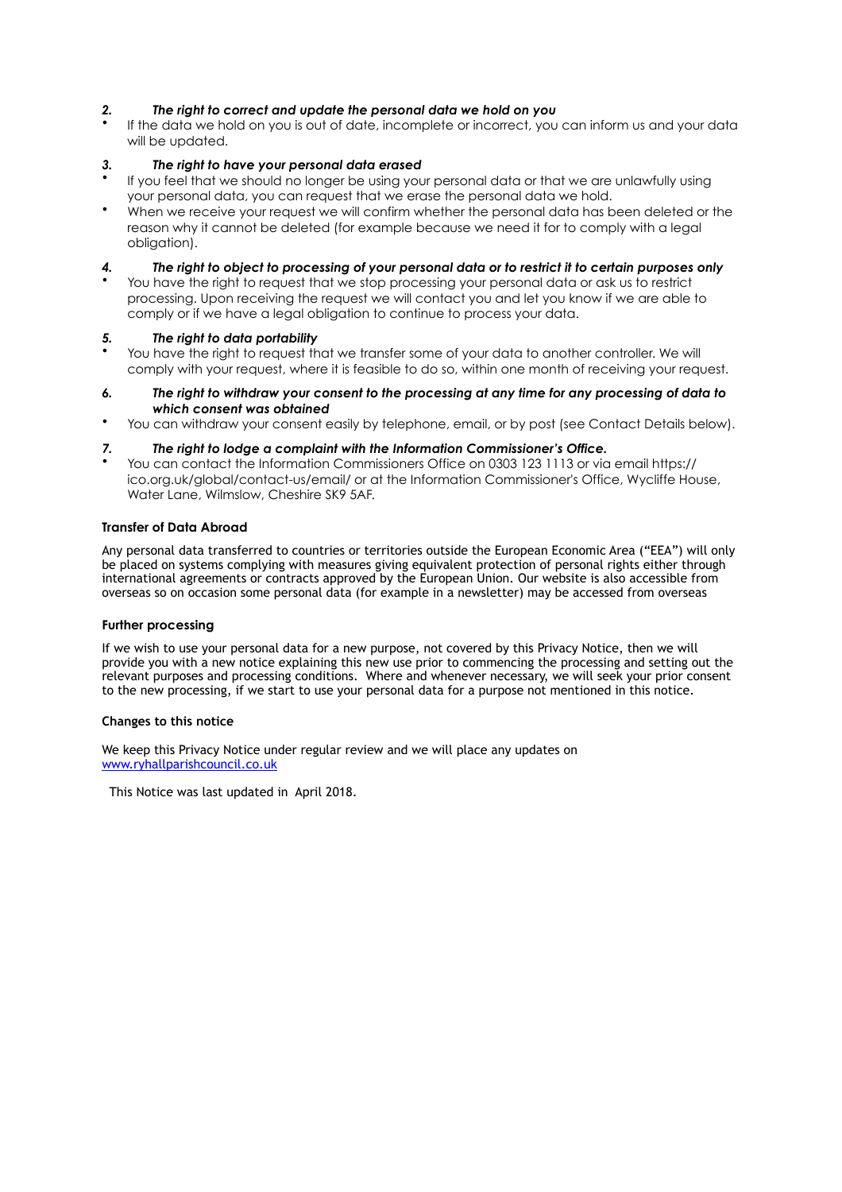# *2. The right to correct and update the personal data we hold on you*

If the data we hold on you is out of date, incomplete or incorrect, you can inform us and your data will be updated.

### *3. The right to have your personal data erased*

- If you feel that we should no longer be using your personal data or that we are unlawfully using your personal data, you can request that we erase the personal data we hold.
- When we receive your request we will confirm whether the personal data has been deleted or the reason why it cannot be deleted (for example because we need it for to comply with a legal obligation).

### *4. The right to object to processing of your personal data or to restrict it to certain purposes only*

• You have the right to request that we stop processing your personal data or ask us to restrict processing. Upon receiving the request we will contact you and let you know if we are able to comply or if we have a legal obligation to continue to process your data.

### *5. The right to data portability*

- You have the right to request that we transfer some of your data to another controller. We will comply with your request, where it is feasible to do so, within one month of receiving your request.
- *6. The right to withdraw your consent to the processing at any time for any processing of data to which consent was obtained*
- You can withdraw your consent easily by telephone, email, or by post (see Contact Details below).

### *7. The right to lodge a complaint with the Information Commissioner's Office.*

• You can contact the Information Commissioners Office on 0303 123 1113 or via email https:// ico.org.uk/global/contact-us/email/ or at the Information Commissioner's Office, Wycliffe House, Water Lane, Wilmslow, Cheshire SK9 5AF.

### **Transfer of Data Abroad**

Any personal data transferred to countries or territories outside the European Economic Area ("EEA") will only be placed on systems complying with measures giving equivalent protection of personal rights either through international agreements or contracts approved by the European Union. Our website is also accessible from overseas so on occasion some personal data (for example in a newsletter) may be accessed from overseas

#### **Further processing**

If we wish to use your personal data for a new purpose, not covered by this Privacy Notice, then we will provide you with a new notice explaining this new use prior to commencing the processing and setting out the relevant purposes and processing conditions. Where and whenever necessary, we will seek your prior consent to the new processing, if we start to use your personal data for a purpose not mentioned in this notice.

#### **Changes to this notice**

We keep this Privacy Notice under regular review and we will place any updates on [www.ryhallparishcouncil.co.uk](http://www.ryhallparishcouncil.co.uk)

This Notice was last updated in April 2018.